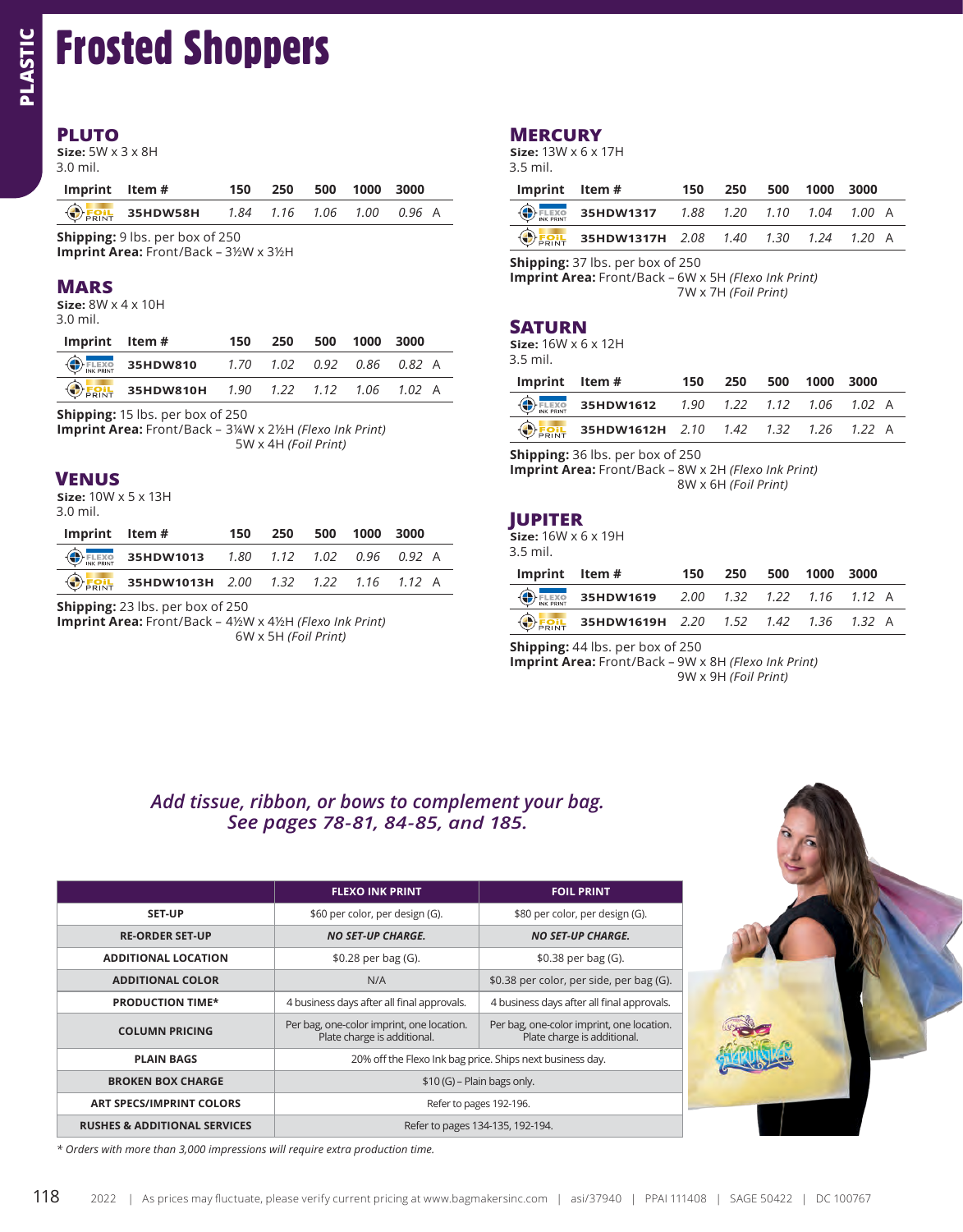# Frosted Shoppers

#### **PLUTO**

| Imprint Item# |                                                     | 150 |  | 250 500 1000 3000 |  |
|---------------|-----------------------------------------------------|-----|--|-------------------|--|
|               | $\bigodot$ Foil 35HDW58H 1.84 1.16 1.06 1.00 0.96 A |     |  |                   |  |

#### **MARS**

| Imprint Item# |                                                                | 150 |  | 250 500 1000 3000 |  |
|---------------|----------------------------------------------------------------|-----|--|-------------------|--|
|               | $\bigoplus_{\text{FLEXO}}$ 35HDW810 1.70 1.02 0.92 0.86 0.82 A |     |  |                   |  |
|               | <b>DEOIL 35HDW810H</b> 1.90 1.22 1.12 1.06 1.02 A              |     |  |                   |  |

### **VENUS**

| Imprint Item# |                                                                   | 150 | 250 | 500 1000 3000 |  |
|---------------|-------------------------------------------------------------------|-----|-----|---------------|--|
|               | $\bigoplus_{\text{FLEXO}}$ 35HDW1013 1.80 1.12 1.02 0.96 0.92 A   |     |     |               |  |
|               | $\bigodot$ <sub>FRINT</sub> 35HDW1013H 2.00 1.32 1.22 1.16 1.12 A |     |     |               |  |

## **MERCURY**

| Imprint Item# |                                                                    | 150 | 250 | 500 1000 3000 |  |
|---------------|--------------------------------------------------------------------|-----|-----|---------------|--|
|               | $\bigoplus_{\text{TK FRINT}}$ 35HDW1317 1.88 1.20 1.10 1.04 1.00 A |     |     |               |  |
|               | $\bigoplus_{\text{PRINT}}$ 35HDW1317H 2.08 1.40 1.30 1.24 1.20 A   |     |     |               |  |

**Shipping:** 37 lbs. per box of 250

**Imprint Area:** Front/Back – 6W x 5H *(Flexo Ink Print)* 7W x 7H *(Foil Print)*

### **SATURN**

| Imprint Item# |                                                                     | 150 | 250 | 500 | 1000 3000 |  |
|---------------|---------------------------------------------------------------------|-----|-----|-----|-----------|--|
|               | $\bigoplus_{\text{INL PRINT}}$ 35HDW1612 1.90 1.22 1.12 1.06 1.02 A |     |     |     |           |  |
|               | <b>DEOIL 35HDW1612H</b> 2.10 1.42 1.32 1.26 1.22 A                  |     |     |     |           |  |

**Shipping:** 36 lbs. per box of 250

**Imprint Area:** Front/Back – 8W x 2H *(Flexo Ink Print)* 8W x 6H *(Foil Print)*

## **JUPITER**

| Imprint Item# |                                                                     | 150 | 250 | 500 1000 3000 |  |
|---------------|---------------------------------------------------------------------|-----|-----|---------------|--|
|               | $\bigoplus_{\text{INK PRINT}}$ 35HDW1619 2.00 1.32 1.22 1.16 1.12 A |     |     |               |  |
|               | $\bigodot$ Foil 35HDW1619H 2.20 1.52 1.42 1.36 1.32 A               |     |     |               |  |

**Shipping:** 44 lbs. per box of 250

**Imprint Area:** Front/Back – 9W x 8H *(Flexo Ink Print)* 9W x 9H *(Foil Print)*

## *Add tissue, ribbon, or bows to complement your bag. See pages 78-81, 84-85, and 185.*

| Size: $5W \times 3 \times 8H$<br>$3.0$ mil.                             |                                         |      |                      |      |                                            |                  |                                           | <b>MERCURY</b><br>Size: 13W x 6 x 17H<br>3.5 mil.                                       |                                                                          |
|-------------------------------------------------------------------------|-----------------------------------------|------|----------------------|------|--------------------------------------------|------------------|-------------------------------------------|-----------------------------------------------------------------------------------------|--------------------------------------------------------------------------|
| Imprint                                                                 | Item #                                  | 150  | 250                  | 500  | 1000                                       | 3000             |                                           | Imprint                                                                                 | Item #                                                                   |
| <b>DEOIL</b>                                                            | 35HDW58H                                | 1.84 | 1.16                 | 1.06 | 1.00                                       | 0.96 A           |                                           | <b>FLEXO</b><br>INK PRINT                                                               | 35HDW1317                                                                |
| Shipping: 9 lbs. per box of 250<br>Imprint Area: Front/Back - 3½W x 3½H |                                         |      |                      |      |                                            |                  |                                           | <b>OFRINT</b>                                                                           | 35HDW1317H                                                               |
| <b>MARS</b><br>Size: $8W \times 4 \times 10H$<br>$3.0$ mil.             |                                         |      |                      |      |                                            |                  |                                           |                                                                                         | Shipping: 37 lbs. per box of<br>Imprint Area: Front/Back -               |
| Imprint                                                                 | Item #                                  | 150  | 250                  | 500  | 1000                                       | 3000             |                                           | <b>SATURN</b><br>Size: $16W \times 6 \times 12H$                                        |                                                                          |
| $\left(\bigoplus\right)$ FLEXO                                          | 35HDW810                                | 1.70 | 1.02                 | 0.92 | 0.86                                       | 0.82 A           |                                           | 3.5 mil.                                                                                |                                                                          |
| <b>INK PRINT</b><br><b>OFOIL</b>                                        | 35HDW810H                               | 1.90 | 1.22                 | 1.12 | 1.06                                       | 1.02 A           |                                           | Imprint                                                                                 | Item #                                                                   |
| Shipping: 15 lbs. per box of 250                                        |                                         |      |                      |      |                                            |                  |                                           | <b>ELEXO</b>                                                                            | 35HDW1612                                                                |
| Imprint Area: Front/Back - 3¼W x 2½H (Flexo Ink Print)                  |                                         |      |                      |      |                                            |                  |                                           | OFRINT                                                                                  | 35HDW1612H                                                               |
|                                                                         |                                         |      | 5W x 4H (Foil Print) |      |                                            |                  |                                           |                                                                                         | Shipping: 36 lbs. per box of                                             |
| <b>VENUS</b><br>Size: $10W \times 5 \times 13H$<br>3.0 mil.             |                                         |      |                      |      |                                            |                  |                                           | <b>JUPITER</b>                                                                          | Imprint Area: Front/Back -                                               |
| Imprint                                                                 | Item #                                  | 150  | 250                  | 500  | 1000                                       | 3000             |                                           | Size: $16W \times 6 \times 19H$                                                         |                                                                          |
| <b>FLEXO</b><br>INK PRINT                                               | 35HDW1013                               | 1.80 | 1.12                 | 1.02 | 0.96                                       | 0.92 A           |                                           | 3.5 mil.                                                                                |                                                                          |
| <b>EQIL</b>                                                             | 35HDW1013H                              | 2.00 | 1.32                 | 1.22 | 1.16                                       | $1.12 \text{ A}$ |                                           | Imprint                                                                                 | Item#                                                                    |
|                                                                         | <b>Shipping:</b> 23 lbs. per box of 250 |      |                      |      |                                            |                  |                                           | <b>ELEXO</b>                                                                            | 35HDW1619                                                                |
| Imprint Area: Front/Back - 4½W x 4½H (Flexo Ink Print)                  |                                         |      | 6W x 5H (Foil Print) |      |                                            |                  |                                           | <b>FOIL</b>                                                                             | 35HDW1619H<br>Shipping: 44 lbs. per box of<br>Imprint Area: Front/Back - |
|                                                                         |                                         |      |                      |      |                                            |                  |                                           | Add tissue, ribbon, or bows to complement your bag.<br>See pages 78-81, 84-85, and 185. |                                                                          |
|                                                                         |                                         |      |                      |      | <b>FLEXO INK PRINT</b>                     |                  |                                           |                                                                                         | <b>FOIL PRINT</b>                                                        |
|                                                                         | <b>SET-UP</b>                           |      |                      |      | \$60 per color, per design (G).            |                  |                                           |                                                                                         | \$80 per color, per design (G).                                          |
|                                                                         | <b>RE-ORDER SET-UP</b>                  |      |                      |      | <b>NO SET-UP CHARGE.</b>                   |                  |                                           |                                                                                         | <b>NO SET-UP CHARGE.</b>                                                 |
|                                                                         | <b>ADDITIONAL LOCATION</b>              |      |                      |      | \$0.28 per bag (G).                        |                  |                                           |                                                                                         | \$0.38 per bag (G).                                                      |
|                                                                         | <b>ADDITIONAL COLOR</b>                 |      |                      |      | N/A                                        |                  |                                           | \$0.38 per color, per side, per bag (G).                                                |                                                                          |
|                                                                         | <b>PRODUCTION TIME*</b>                 |      |                      |      | 4 business days after all final approvals. |                  |                                           | 4 business days after all final approvals.                                              |                                                                          |
|                                                                         | <b>COLUMN PRICING</b>                   |      |                      |      | Plate charge is additional.                |                  | Per bag, one-color imprint, one location. | Per bag, one-color imprint, one location.                                               | Plate charge is additional.                                              |
|                                                                         | <b>PLAIN BAGS</b>                       |      |                      |      |                                            |                  |                                           | 20% off the Flexo Ink bag price. Ships next business day.                               |                                                                          |
|                                                                         | <b>BROKEN BOX CHARGE</b>                |      |                      |      |                                            |                  |                                           | \$10 (G) - Plain bags only.<br>Refer to pages 192-196.                                  |                                                                          |